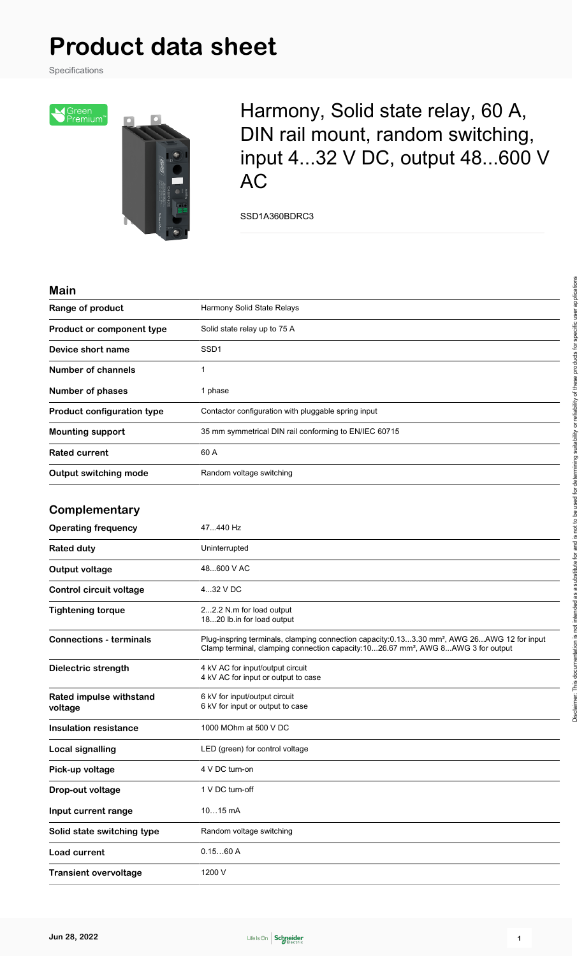# **Product data sheet**

Specifications



Harmony, Solid state relay, 60 A, DIN rail mount, random switching, input 4...32 V DC, output 48...600 V AC

SSD1A360BDRC3

#### **Main**

| Range of product                   | Harmony Solid State Relays                                                                                                                                                                              |
|------------------------------------|---------------------------------------------------------------------------------------------------------------------------------------------------------------------------------------------------------|
| Product or component type          | Solid state relay up to 75 A                                                                                                                                                                            |
| Device short name                  | SSD <sub>1</sub>                                                                                                                                                                                        |
| <b>Number of channels</b>          | 1                                                                                                                                                                                                       |
| <b>Number of phases</b>            | 1 phase                                                                                                                                                                                                 |
| <b>Product configuration type</b>  | Contactor configuration with pluggable spring input                                                                                                                                                     |
| <b>Mounting support</b>            | 35 mm symmetrical DIN rail conforming to EN/IEC 60715                                                                                                                                                   |
| <b>Rated current</b>               | 60 A                                                                                                                                                                                                    |
| <b>Output switching mode</b>       | Random voltage switching                                                                                                                                                                                |
| Complementary                      |                                                                                                                                                                                                         |
| <b>Operating frequency</b>         | 47440 Hz                                                                                                                                                                                                |
| <b>Rated duty</b>                  | Uninterrupted                                                                                                                                                                                           |
| Output voltage                     | 48600 V AC                                                                                                                                                                                              |
| Control circuit voltage            | 432 V DC                                                                                                                                                                                                |
| <b>Tightening torque</b>           | 22.2 N.m for load output<br>1820 lb.in for load output                                                                                                                                                  |
| <b>Connections - terminals</b>     | Plug-inspring terminals, clamping connection capacity:0.133.30 mm <sup>2</sup> , AWG 26AWG 12 for input<br>Clamp terminal, clamping connection capacity:1026.67 mm <sup>2</sup> , AWG 8AWG 3 for output |
| Dielectric strength                | 4 kV AC for input/output circuit<br>4 kV AC for input or output to case                                                                                                                                 |
| Rated impulse withstand<br>voltage | 6 kV for input/output circuit<br>6 kV for input or output to case                                                                                                                                       |
| <b>Insulation resistance</b>       | 1000 MOhm at 500 V DC                                                                                                                                                                                   |
| <b>Local signalling</b>            | LED (green) for control voltage                                                                                                                                                                         |
| Pick-up voltage                    | 4 V DC turn-on                                                                                                                                                                                          |
| Drop-out voltage                   | 1 V DC turn-off                                                                                                                                                                                         |
| Input current range                | 1015 mA                                                                                                                                                                                                 |
| Solid state switching type         | Random voltage switching                                                                                                                                                                                |
| <b>Load current</b>                | 0.1560A                                                                                                                                                                                                 |
| <b>Transient overvoltage</b>       | 1200 V                                                                                                                                                                                                  |

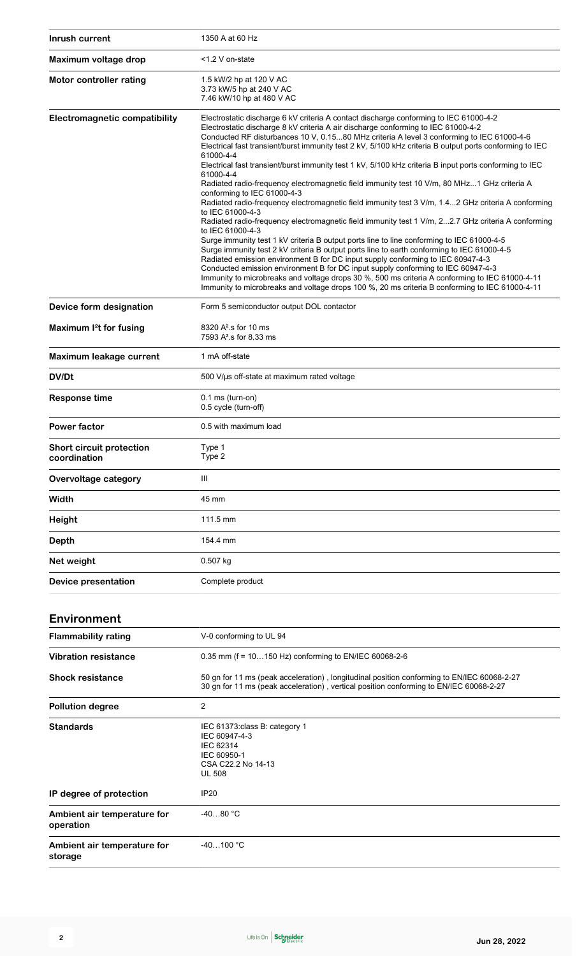| Inrush current                                  | 1350 A at 60 Hz                                                                                                                                                                                                                                                                                                                                                                                                                                                                                                                                                                                                                                                                                                                                                                                                                                                                                                                                                                                                                                                                                                                                                                                                                                                                                                                                                                                                                                                                |
|-------------------------------------------------|--------------------------------------------------------------------------------------------------------------------------------------------------------------------------------------------------------------------------------------------------------------------------------------------------------------------------------------------------------------------------------------------------------------------------------------------------------------------------------------------------------------------------------------------------------------------------------------------------------------------------------------------------------------------------------------------------------------------------------------------------------------------------------------------------------------------------------------------------------------------------------------------------------------------------------------------------------------------------------------------------------------------------------------------------------------------------------------------------------------------------------------------------------------------------------------------------------------------------------------------------------------------------------------------------------------------------------------------------------------------------------------------------------------------------------------------------------------------------------|
| Maximum voltage drop                            | <1.2 V on-state                                                                                                                                                                                                                                                                                                                                                                                                                                                                                                                                                                                                                                                                                                                                                                                                                                                                                                                                                                                                                                                                                                                                                                                                                                                                                                                                                                                                                                                                |
| Motor controller rating                         | 1.5 kW/2 hp at 120 V AC<br>3.73 kW/5 hp at 240 V AC<br>7.46 kW/10 hp at 480 V AC                                                                                                                                                                                                                                                                                                                                                                                                                                                                                                                                                                                                                                                                                                                                                                                                                                                                                                                                                                                                                                                                                                                                                                                                                                                                                                                                                                                               |
| <b>Electromagnetic compatibility</b>            | Electrostatic discharge 6 kV criteria A contact discharge conforming to IEC 61000-4-2<br>Electrostatic discharge 8 kV criteria A air discharge conforming to IEC 61000-4-2<br>Conducted RF disturbances 10 V, 0.1580 MHz criteria A level 3 conforming to IEC 61000-4-6<br>Electrical fast transient/burst immunity test 2 kV, 5/100 kHz criteria B output ports conforming to IEC<br>61000-4-4<br>Electrical fast transient/burst immunity test 1 kV, 5/100 kHz criteria B input ports conforming to IEC<br>61000-4-4<br>Radiated radio-frequency electromagnetic field immunity test 10 V/m, 80 MHz1 GHz criteria A<br>conforming to IEC 61000-4-3<br>Radiated radio-frequency electromagnetic field immunity test 3 V/m, 1.42 GHz criteria A conforming<br>to IEC 61000-4-3<br>Radiated radio-frequency electromagnetic field immunity test 1 V/m, 22.7 GHz criteria A conforming<br>to IEC 61000-4-3<br>Surge immunity test 1 kV criteria B output ports line to line conforming to IEC 61000-4-5<br>Surge immunity test 2 kV criteria B output ports line to earth conforming to IEC 61000-4-5<br>Radiated emission environment B for DC input supply conforming to IEC 60947-4-3<br>Conducted emission environment B for DC input supply conforming to IEC 60947-4-3<br>Immunity to microbreaks and voltage drops 30 %, 500 ms criteria A conforming to IEC 61000-4-11<br>Immunity to microbreaks and voltage drops 100 %, 20 ms criteria B conforming to IEC 61000-4-11 |
| Device form designation                         | Form 5 semiconductor output DOL contactor                                                                                                                                                                                                                                                                                                                                                                                                                                                                                                                                                                                                                                                                                                                                                                                                                                                                                                                                                                                                                                                                                                                                                                                                                                                                                                                                                                                                                                      |
| Maximum I <sup>2</sup> t for fusing             | 8320 A <sup>2</sup> s for 10 ms<br>7593 A <sup>2</sup> .s for 8.33 ms                                                                                                                                                                                                                                                                                                                                                                                                                                                                                                                                                                                                                                                                                                                                                                                                                                                                                                                                                                                                                                                                                                                                                                                                                                                                                                                                                                                                          |
| Maximum leakage current                         | 1 mA off-state                                                                                                                                                                                                                                                                                                                                                                                                                                                                                                                                                                                                                                                                                                                                                                                                                                                                                                                                                                                                                                                                                                                                                                                                                                                                                                                                                                                                                                                                 |
| DV/Dt                                           | 500 V/µs off-state at maximum rated voltage                                                                                                                                                                                                                                                                                                                                                                                                                                                                                                                                                                                                                                                                                                                                                                                                                                                                                                                                                                                                                                                                                                                                                                                                                                                                                                                                                                                                                                    |
| <b>Response time</b>                            | $0.1$ ms (turn-on)<br>0.5 cycle (turn-off)                                                                                                                                                                                                                                                                                                                                                                                                                                                                                                                                                                                                                                                                                                                                                                                                                                                                                                                                                                                                                                                                                                                                                                                                                                                                                                                                                                                                                                     |
| <b>Power factor</b>                             | 0.5 with maximum load                                                                                                                                                                                                                                                                                                                                                                                                                                                                                                                                                                                                                                                                                                                                                                                                                                                                                                                                                                                                                                                                                                                                                                                                                                                                                                                                                                                                                                                          |
| <b>Short circuit protection</b><br>coordination | Type 1<br>Type 2                                                                                                                                                                                                                                                                                                                                                                                                                                                                                                                                                                                                                                                                                                                                                                                                                                                                                                                                                                                                                                                                                                                                                                                                                                                                                                                                                                                                                                                               |
| <b>Overvoltage category</b>                     | Ш                                                                                                                                                                                                                                                                                                                                                                                                                                                                                                                                                                                                                                                                                                                                                                                                                                                                                                                                                                                                                                                                                                                                                                                                                                                                                                                                                                                                                                                                              |
| Width                                           | 45 mm                                                                                                                                                                                                                                                                                                                                                                                                                                                                                                                                                                                                                                                                                                                                                                                                                                                                                                                                                                                                                                                                                                                                                                                                                                                                                                                                                                                                                                                                          |
| <b>Height</b>                                   | 111.5 mm                                                                                                                                                                                                                                                                                                                                                                                                                                                                                                                                                                                                                                                                                                                                                                                                                                                                                                                                                                                                                                                                                                                                                                                                                                                                                                                                                                                                                                                                       |
| Depth                                           | 154.4 mm                                                                                                                                                                                                                                                                                                                                                                                                                                                                                                                                                                                                                                                                                                                                                                                                                                                                                                                                                                                                                                                                                                                                                                                                                                                                                                                                                                                                                                                                       |
| Net weight                                      | 0.507 kg                                                                                                                                                                                                                                                                                                                                                                                                                                                                                                                                                                                                                                                                                                                                                                                                                                                                                                                                                                                                                                                                                                                                                                                                                                                                                                                                                                                                                                                                       |
| Device presentation                             | Complete product                                                                                                                                                                                                                                                                                                                                                                                                                                                                                                                                                                                                                                                                                                                                                                                                                                                                                                                                                                                                                                                                                                                                                                                                                                                                                                                                                                                                                                                               |
| <b>Environment</b>                              |                                                                                                                                                                                                                                                                                                                                                                                                                                                                                                                                                                                                                                                                                                                                                                                                                                                                                                                                                                                                                                                                                                                                                                                                                                                                                                                                                                                                                                                                                |
| <b>Flammability rating</b>                      | V-0 conforming to UL 94                                                                                                                                                                                                                                                                                                                                                                                                                                                                                                                                                                                                                                                                                                                                                                                                                                                                                                                                                                                                                                                                                                                                                                                                                                                                                                                                                                                                                                                        |
| <b>Vibration resistance</b>                     | 0.35 mm (f = 10150 Hz) conforming to EN/IEC 60068-2-6                                                                                                                                                                                                                                                                                                                                                                                                                                                                                                                                                                                                                                                                                                                                                                                                                                                                                                                                                                                                                                                                                                                                                                                                                                                                                                                                                                                                                          |
| <b>Shock resistance</b>                         | 50 gn for 11 ms (peak acceleration), longitudinal position conforming to EN/IEC 60068-2-27<br>30 gn for 11 ms (peak acceleration), vertical position conforming to EN/IEC 60068-2-27                                                                                                                                                                                                                                                                                                                                                                                                                                                                                                                                                                                                                                                                                                                                                                                                                                                                                                                                                                                                                                                                                                                                                                                                                                                                                           |
| <b>Pollution degree</b>                         | 2                                                                                                                                                                                                                                                                                                                                                                                                                                                                                                                                                                                                                                                                                                                                                                                                                                                                                                                                                                                                                                                                                                                                                                                                                                                                                                                                                                                                                                                                              |
| <b>Standards</b>                                | IEC 61373: class B: category 1<br>IEC 60947-4-3<br>IEC 62314<br>IEC 60950-1<br>CSA C22.2 No 14-13<br><b>UL 508</b>                                                                                                                                                                                                                                                                                                                                                                                                                                                                                                                                                                                                                                                                                                                                                                                                                                                                                                                                                                                                                                                                                                                                                                                                                                                                                                                                                             |
| IP degree of protection                         | <b>IP20</b>                                                                                                                                                                                                                                                                                                                                                                                                                                                                                                                                                                                                                                                                                                                                                                                                                                                                                                                                                                                                                                                                                                                                                                                                                                                                                                                                                                                                                                                                    |
| Ambient air temperature for<br>operation        | $-4080 °C$                                                                                                                                                                                                                                                                                                                                                                                                                                                                                                                                                                                                                                                                                                                                                                                                                                                                                                                                                                                                                                                                                                                                                                                                                                                                                                                                                                                                                                                                     |
| Ambient air temperature for<br>storage          | -40…100 °C                                                                                                                                                                                                                                                                                                                                                                                                                                                                                                                                                                                                                                                                                                                                                                                                                                                                                                                                                                                                                                                                                                                                                                                                                                                                                                                                                                                                                                                                     |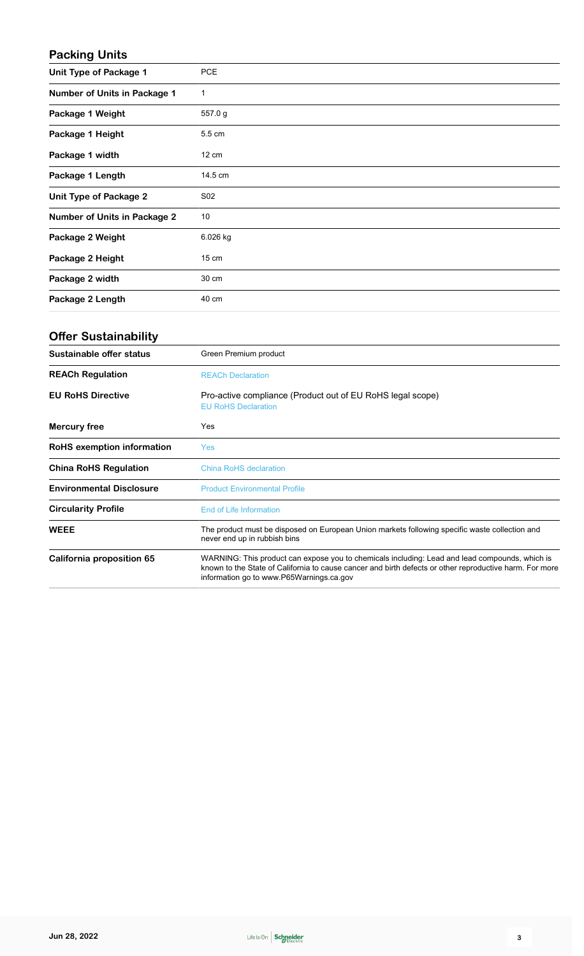### **Packing Units**

| Unit Type of Package 1              | <b>PCE</b>      |
|-------------------------------------|-----------------|
| <b>Number of Units in Package 1</b> | 1               |
| Package 1 Weight                    | 557.0 g         |
| Package 1 Height                    | 5.5 cm          |
| Package 1 width                     | $12 \text{ cm}$ |
| Package 1 Length                    | 14.5 cm         |
| <b>Unit Type of Package 2</b>       | S02             |
| <b>Number of Units in Package 2</b> | 10              |
| Package 2 Weight                    | 6.026 kg        |
| Package 2 Height                    | $15 \text{ cm}$ |
| Package 2 width                     | 30 cm           |
| Package 2 Length                    | 40 cm           |

### **Offer Sustainability**

| Sustainable offer status        | Green Premium product                                                                                                                                                                                                                                 |
|---------------------------------|-------------------------------------------------------------------------------------------------------------------------------------------------------------------------------------------------------------------------------------------------------|
| <b>REACh Regulation</b>         | <b>REACh Declaration</b>                                                                                                                                                                                                                              |
| <b>EU RoHS Directive</b>        | Pro-active compliance (Product out of EU RoHS legal scope)<br><b>EU RoHS Declaration</b>                                                                                                                                                              |
| Mercury free                    | Yes                                                                                                                                                                                                                                                   |
| RoHS exemption information      | <b>Yes</b>                                                                                                                                                                                                                                            |
| <b>China RoHS Regulation</b>    | China RoHS declaration                                                                                                                                                                                                                                |
| <b>Environmental Disclosure</b> | <b>Product Environmental Profile</b>                                                                                                                                                                                                                  |
| <b>Circularity Profile</b>      | End of Life Information                                                                                                                                                                                                                               |
| <b>WEEE</b>                     | The product must be disposed on European Union markets following specific waste collection and<br>never end up in rubbish bins                                                                                                                        |
| California proposition 65       | WARNING: This product can expose you to chemicals including: Lead and lead compounds, which is<br>known to the State of California to cause cancer and birth defects or other reproductive harm. For more<br>information go to www.P65Warnings.ca.gov |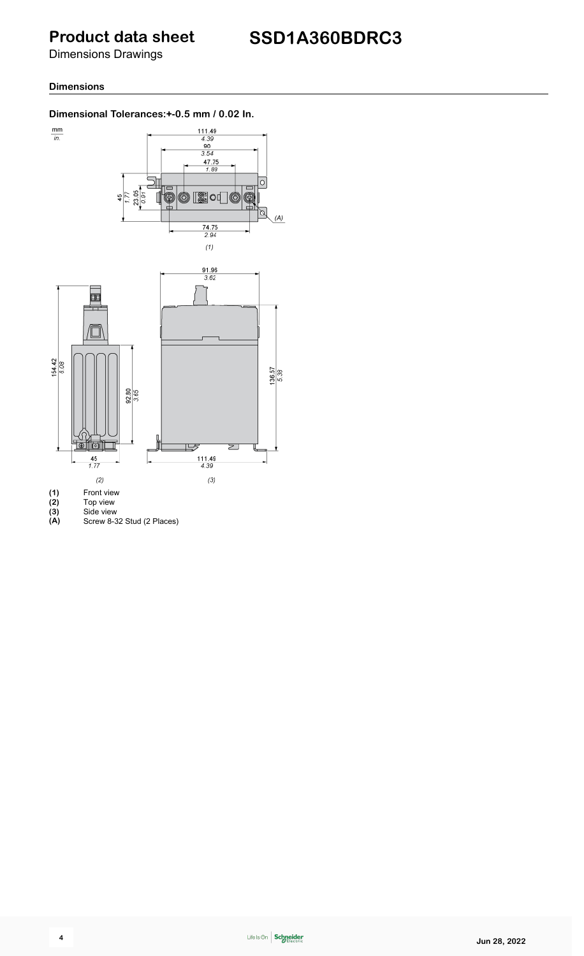## **Product data sheet**

Dimensions Drawings

### **Dimensions**

### **Dimensional Tolerances:+-0.5 mm / 0.02 In.**



- **(3)** Side view
- **(A)** Screw 8-32 Stud (2 Places)